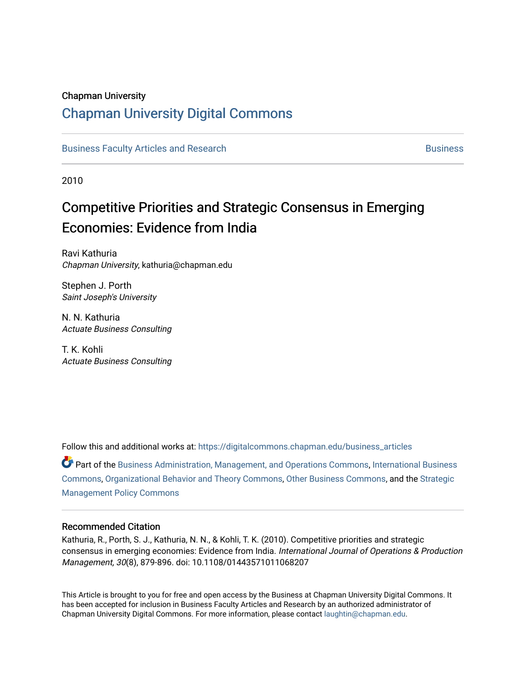#### Chapman University

# [Chapman University Digital Commons](https://digitalcommons.chapman.edu/)

[Business Faculty Articles and Research](https://digitalcommons.chapman.edu/business_articles) [Business](https://digitalcommons.chapman.edu/business) **Business** Business

2010

# Competitive Priorities and Strategic Consensus in Emerging Economies: Evidence from India

Ravi Kathuria Chapman University, kathuria@chapman.edu

Stephen J. Porth Saint Joseph's University

N. N. Kathuria Actuate Business Consulting

T. K. Kohli Actuate Business Consulting

Follow this and additional works at: [https://digitalcommons.chapman.edu/business\\_articles](https://digitalcommons.chapman.edu/business_articles?utm_source=digitalcommons.chapman.edu%2Fbusiness_articles%2F86&utm_medium=PDF&utm_campaign=PDFCoverPages)   $\bullet$  Part of the [Business Administration, Management, and Operations Commons](http://network.bepress.com/hgg/discipline/623?utm_source=digitalcommons.chapman.edu%2Fbusiness_articles%2F86&utm_medium=PDF&utm_campaign=PDFCoverPages), International Business [Commons](http://network.bepress.com/hgg/discipline/634?utm_source=digitalcommons.chapman.edu%2Fbusiness_articles%2F86&utm_medium=PDF&utm_campaign=PDFCoverPages), [Organizational Behavior and Theory Commons,](http://network.bepress.com/hgg/discipline/639?utm_source=digitalcommons.chapman.edu%2Fbusiness_articles%2F86&utm_medium=PDF&utm_campaign=PDFCoverPages) [Other Business Commons](http://network.bepress.com/hgg/discipline/647?utm_source=digitalcommons.chapman.edu%2Fbusiness_articles%2F86&utm_medium=PDF&utm_campaign=PDFCoverPages), and the [Strategic](http://network.bepress.com/hgg/discipline/642?utm_source=digitalcommons.chapman.edu%2Fbusiness_articles%2F86&utm_medium=PDF&utm_campaign=PDFCoverPages)  [Management Policy Commons](http://network.bepress.com/hgg/discipline/642?utm_source=digitalcommons.chapman.edu%2Fbusiness_articles%2F86&utm_medium=PDF&utm_campaign=PDFCoverPages) 

#### Recommended Citation

Kathuria, R., Porth, S. J., Kathuria, N. N., & Kohli, T. K. (2010). Competitive priorities and strategic consensus in emerging economies: Evidence from India. International Journal of Operations & Production Management, 30(8), 879-896. doi: 10.1108/01443571011068207

This Article is brought to you for free and open access by the Business at Chapman University Digital Commons. It has been accepted for inclusion in Business Faculty Articles and Research by an authorized administrator of Chapman University Digital Commons. For more information, please contact [laughtin@chapman.edu](mailto:laughtin@chapman.edu).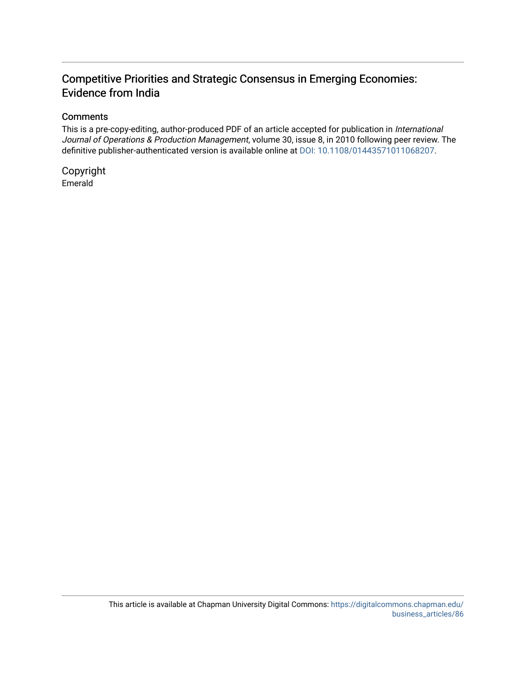# Competitive Priorities and Strategic Consensus in Emerging Economies: Evidence from India

#### **Comments**

This is a pre-copy-editing, author-produced PDF of an article accepted for publication in International Journal of Operations & Production Management, volume 30, issue 8, in 2010 following peer review. The definitive publisher-authenticated version is available online at [DOI: 10.1108/01443571011068207.](https://doi.org/10.1108/01443571011068207)

Copyright Emerald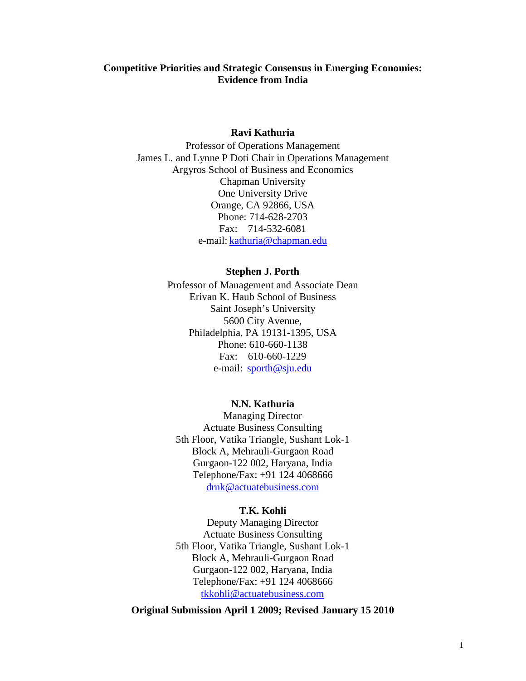#### **Competitive Priorities and Strategic Consensus in Emerging Economies: Evidence from India**

#### **Ravi Kathuria**

Professor of Operations Management James L. and Lynne P Doti Chair in Operations Management Argyros School of Business and Economics Chapman University One University Drive Orange, CA 92866, USA Phone: 714-628-2703 Fax: 714-532-6081 e-mail: [kathuria@chapman.edu](mailto:kathuria@sju.edu)

#### **Stephen J. Porth**

Professor of Management and Associate Dean Erivan K. Haub School of Business Saint Joseph's University 5600 City Avenue, Philadelphia, PA 19131-1395, USA Phone: 610-660-1138 Fax: 610-660-1229 e-mail: [sporth@sju.edu](mailto:sporth@sju.edu)

#### **N.N. Kathuria**

Managing Director Actuate Business Consulting 5th Floor, Vatika Triangle, Sushant Lok-1 Block A, Mehrauli-Gurgaon Road Gurgaon-122 002, Haryana, India Telephone/Fax: +91 124 4068666 [drnk@actuatebusiness.com](mailto:drnk@actuatebusiness.com)

#### **T.K. Kohli**

Deputy Managing Director Actuate Business Consulting 5th Floor, Vatika Triangle, Sushant Lok-1 Block A, Mehrauli-Gurgaon Road Gurgaon-122 002, Haryana, India Telephone/Fax: +91 124 4068666 [tkkohli@actuatebusiness.com](mailto:tkkohli@actuatebusiness.com)

**Original Submission April 1 2009; Revised January 15 2010**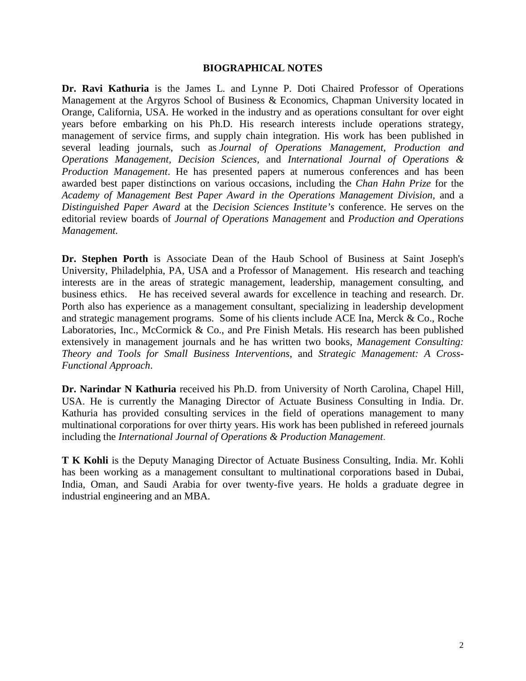#### **BIOGRAPHICAL NOTES**

**Dr. Ravi Kathuria** is the James L. and Lynne P. Doti Chaired Professor of Operations Management at the Argyros School of Business & Economics, Chapman University located in Orange, California, USA. He worked in the industry and as operations consultant for over eight years before embarking on his Ph.D. His research interests include operations strategy, management of service firms, and supply chain integration. His work has been published in several leading journals, such as *Journal of Operations Management, Production and Operations Management, Decision Sciences,* and *International Journal of Operations & Production Management*. He has presented papers at numerous conferences and has been awarded best paper distinctions on various occasions, including the *Chan Hahn Prize* for the *Academy of Management Best Paper Award in the Operations Management Division,* and a *Distinguished Paper Award* at the *Decision Sciences Institute's* conference. He serves on the editorial review boards of *Journal of Operations Management* and *Production and Operations Management.*

**Dr. Stephen Porth** is Associate Dean of the Haub School of Business at Saint Joseph's University, Philadelphia, PA, USA and a Professor of Management. His research and teaching interests are in the areas of strategic management, leadership, management consulting, and business ethics. He has received several awards for excellence in teaching and research. Dr. Porth also has experience as a management consultant, specializing in leadership development and strategic management programs. Some of his clients include ACE Ina, Merck & Co., Roche Laboratories, Inc., McCormick & Co., and Pre Finish Metals. His research has been published extensively in management journals and he has written two books, *Management Consulting: Theory and Tools for Small Business Interventions*, and *Strategic Management: A Cross-Functional Approach*.

**Dr. Narindar N Kathuria** received his Ph.D. from University of North Carolina, Chapel Hill, USA. He is currently the Managing Director of Actuate Business Consulting in India. Dr. Kathuria has provided consulting services in the field of operations management to many multinational corporations for over thirty years. His work has been published in refereed journals including the *International Journal of Operations & Production Management*.

**T K Kohli** is the Deputy Managing Director of Actuate Business Consulting, India. Mr. Kohli has been working as a management consultant to multinational corporations based in Dubai, India, Oman, and Saudi Arabia for over twenty-five years. He holds a graduate degree in industrial engineering and an MBA.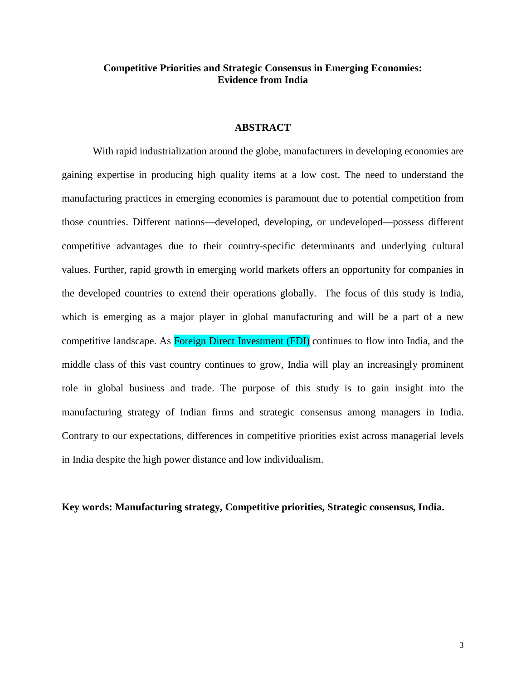#### **Competitive Priorities and Strategic Consensus in Emerging Economies: Evidence from India**

#### **ABSTRACT**

With rapid industrialization around the globe, manufacturers in developing economies are gaining expertise in producing high quality items at a low cost. The need to understand the manufacturing practices in emerging economies is paramount due to potential competition from those countries. Different nations—developed, developing, or undeveloped—possess different competitive advantages due to their country-specific determinants and underlying cultural values. Further, rapid growth in emerging world markets offers an opportunity for companies in the developed countries to extend their operations globally. The focus of this study is India, which is emerging as a major player in global manufacturing and will be a part of a new competitive landscape. As Foreign Direct Investment (FDI) continues to flow into India, and the middle class of this vast country continues to grow, India will play an increasingly prominent role in global business and trade. The purpose of this study is to gain insight into the manufacturing strategy of Indian firms and strategic consensus among managers in India. Contrary to our expectations, differences in competitive priorities exist across managerial levels in India despite the high power distance and low individualism.

#### **Key words: Manufacturing strategy, Competitive priorities, Strategic consensus, India.**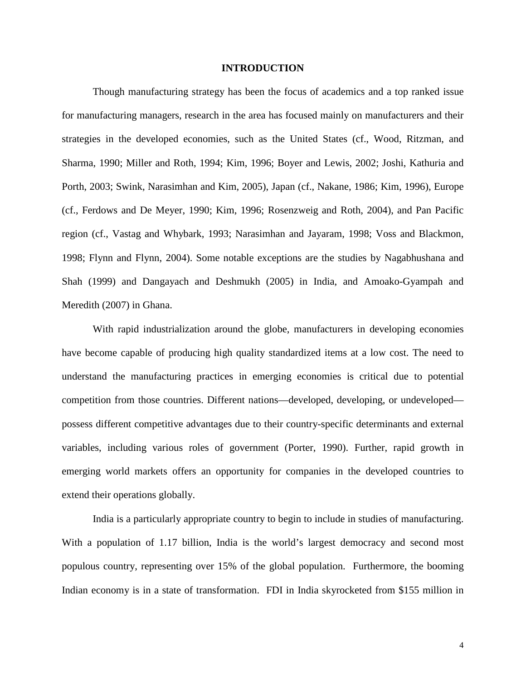#### **INTRODUCTION**

Though manufacturing strategy has been the focus of academics and a top ranked issue for manufacturing managers, research in the area has focused mainly on manufacturers and their strategies in the developed economies, such as the United States (cf., Wood, Ritzman, and Sharma, 1990; Miller and Roth, 1994; Kim, 1996; Boyer and Lewis, 2002; Joshi, Kathuria and Porth, 2003; Swink, Narasimhan and Kim, 2005), Japan (cf., Nakane, 1986; Kim, 1996), Europe (cf., Ferdows and De Meyer, 1990; Kim, 1996; Rosenzweig and Roth, 2004), and Pan Pacific region (cf., Vastag and Whybark, 1993; Narasimhan and Jayaram, 1998; Voss and Blackmon, 1998; Flynn and Flynn, 2004). Some notable exceptions are the studies by Nagabhushana and Shah (1999) and Dangayach and Deshmukh (2005) in India, and Amoako-Gyampah and Meredith (2007) in Ghana.

With rapid industrialization around the globe, manufacturers in developing economies have become capable of producing high quality standardized items at a low cost. The need to understand the manufacturing practices in emerging economies is critical due to potential competition from those countries. Different nations—developed, developing, or undeveloped possess different competitive advantages due to their country-specific determinants and external variables, including various roles of government (Porter, 1990). Further, rapid growth in emerging world markets offers an opportunity for companies in the developed countries to extend their operations globally.

India is a particularly appropriate country to begin to include in studies of manufacturing. With a population of 1.17 billion, India is the world's largest democracy and second most populous country, representing over 15% of the global population. Furthermore, the booming Indian economy is in a state of transformation. FDI in India skyrocketed from \$155 million in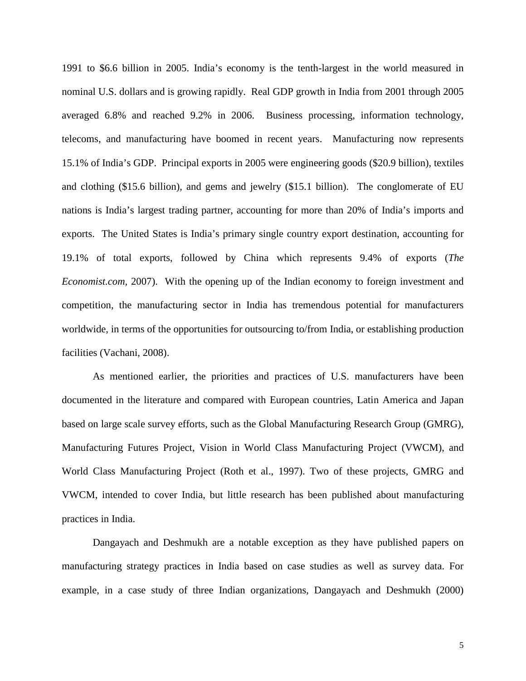1991 to \$6.6 billion in 2005. India's economy is the tenth-largest in the world measured in nominal U.S. dollars and is growing rapidly. Real GDP growth in India from 2001 through 2005 averaged 6.8% and reached 9.2% in 2006. Business processing, information technology, telecoms, and manufacturing have boomed in recent years. Manufacturing now represents 15.1% of India's GDP. Principal exports in 2005 were engineering goods (\$20.9 billion), textiles and clothing (\$15.6 billion), and gems and jewelry (\$15.1 billion). The conglomerate of EU nations is India's largest trading partner, accounting for more than 20% of India's imports and exports. The United States is India's primary single country export destination, accounting for 19.1% of total exports, followed by China which represents 9.4% of exports (*The Economist.com,* 2007). With the opening up of the Indian economy to foreign investment and competition, the manufacturing sector in India has tremendous potential for manufacturers worldwide, in terms of the opportunities for outsourcing to/from India, or establishing production facilities (Vachani, 2008).

As mentioned earlier, the priorities and practices of U.S. manufacturers have been documented in the literature and compared with European countries, Latin America and Japan based on large scale survey efforts, such as the Global Manufacturing Research Group (GMRG), Manufacturing Futures Project, Vision in World Class Manufacturing Project (VWCM), and World Class Manufacturing Project (Roth et al., 1997). Two of these projects, GMRG and VWCM, intended to cover India, but little research has been published about manufacturing practices in India.

Dangayach and Deshmukh are a notable exception as they have published papers on manufacturing strategy practices in India based on case studies as well as survey data. For example, in a case study of three Indian organizations, Dangayach and Deshmukh (2000)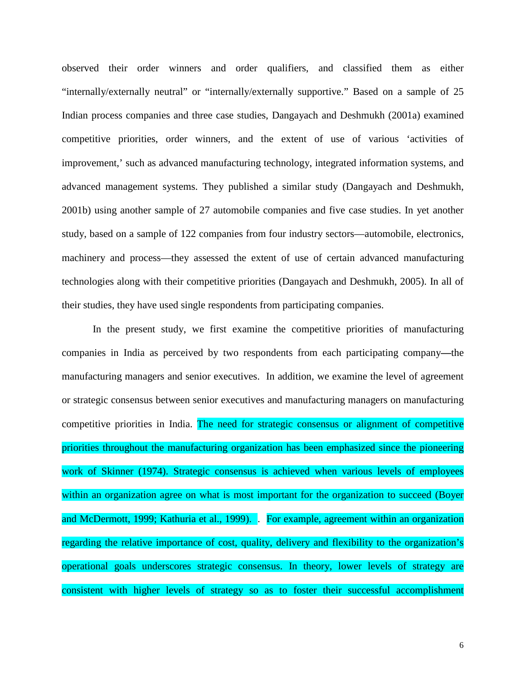observed their order winners and order qualifiers, and classified them as either "internally/externally neutral" or "internally/externally supportive." Based on a sample of 25 Indian process companies and three case studies, Dangayach and Deshmukh (2001a) examined competitive priorities, order winners, and the extent of use of various 'activities of improvement,' such as advanced manufacturing technology, integrated information systems, and advanced management systems. They published a similar study (Dangayach and Deshmukh, 2001b) using another sample of 27 automobile companies and five case studies. In yet another study, based on a sample of 122 companies from four industry sectors—automobile, electronics, machinery and process—they assessed the extent of use of certain advanced manufacturing technologies along with their competitive priorities (Dangayach and Deshmukh, 2005). In all of their studies, they have used single respondents from participating companies.

In the present study, we first examine the competitive priorities of manufacturing companies in India as perceived by two respondents from each participating company**—**the manufacturing managers and senior executives. In addition, we examine the level of agreement or strategic consensus between senior executives and manufacturing managers on manufacturing competitive priorities in India. The need for strategic consensus or alignment of competitive priorities throughout the manufacturing organization has been emphasized since the pioneering work of Skinner (1974). Strategic consensus is achieved when various levels of employees within an organization agree on what is most important for the organization to succeed (Boyer and McDermott, 1999; Kathuria et al., 1999). For example, agreement within an organization regarding the relative importance of cost, quality, delivery and flexibility to the organization's operational goals underscores strategic consensus. In theory, lower levels of strategy are consistent with higher levels of strategy so as to foster their successful accomplishment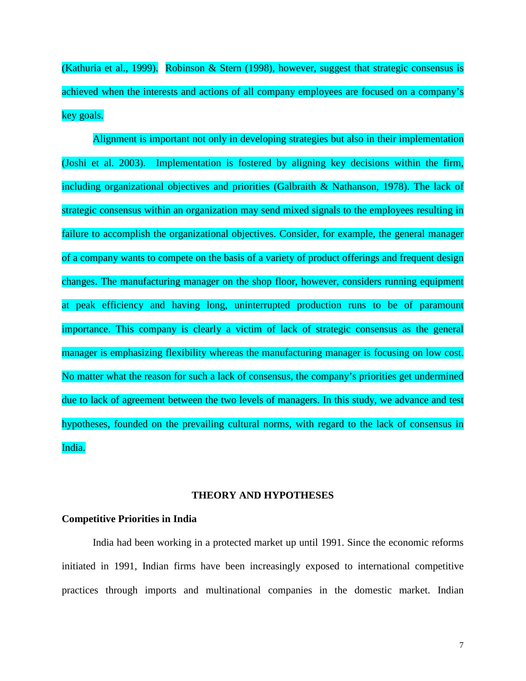(Kathuria et al., 1999). Robinson & Stern (1998), however, suggest that strategic consensus is achieved when the interests and actions of all company employees are focused on a company's key goals.

Alignment is important not only in developing strategies but also in their implementation (Joshi et al. 2003). Implementation is fostered by aligning key decisions within the firm, including organizational objectives and priorities (Galbraith & Nathanson, 1978). The lack of strategic consensus within an organization may send mixed signals to the employees resulting in failure to accomplish the organizational objectives. Consider, for example, the general manager of a company wants to compete on the basis of a variety of product offerings and frequent design changes. The manufacturing manager on the shop floor, however, considers running equipment at peak efficiency and having long, uninterrupted production runs to be of paramount importance. This company is clearly a victim of lack of strategic consensus as the general manager is emphasizing flexibility whereas the manufacturing manager is focusing on low cost. No matter what the reason for such a lack of consensus, the company's priorities get undermined due to lack of agreement between the two levels of managers. In this study, we advance and test hypotheses, founded on the prevailing cultural norms, with regard to the lack of consensus in India.

#### **THEORY AND HYPOTHESES**

#### **Competitive Priorities in India**

India had been working in a protected market up until 1991. Since the economic reforms initiated in 1991, Indian firms have been increasingly exposed to international competitive practices through imports and multinational companies in the domestic market. Indian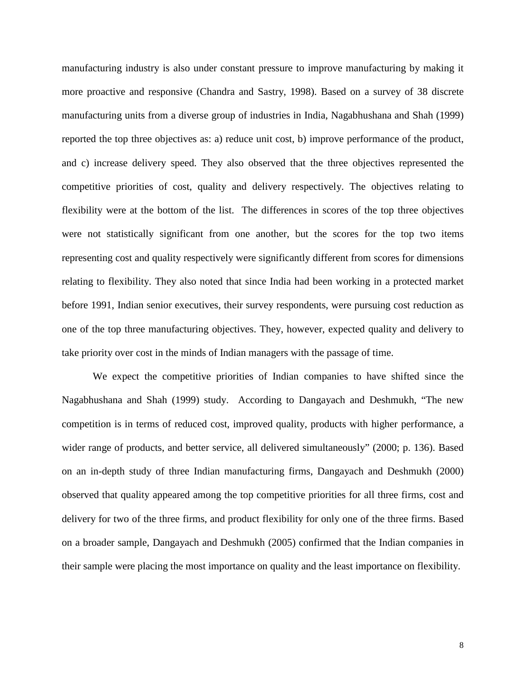manufacturing industry is also under constant pressure to improve manufacturing by making it more proactive and responsive (Chandra and Sastry, 1998). Based on a survey of 38 discrete manufacturing units from a diverse group of industries in India, Nagabhushana and Shah (1999) reported the top three objectives as: a) reduce unit cost, b) improve performance of the product, and c) increase delivery speed. They also observed that the three objectives represented the competitive priorities of cost, quality and delivery respectively. The objectives relating to flexibility were at the bottom of the list. The differences in scores of the top three objectives were not statistically significant from one another, but the scores for the top two items representing cost and quality respectively were significantly different from scores for dimensions relating to flexibility. They also noted that since India had been working in a protected market before 1991, Indian senior executives, their survey respondents, were pursuing cost reduction as one of the top three manufacturing objectives. They, however, expected quality and delivery to take priority over cost in the minds of Indian managers with the passage of time.

We expect the competitive priorities of Indian companies to have shifted since the Nagabhushana and Shah (1999) study. According to Dangayach and Deshmukh, "The new competition is in terms of reduced cost, improved quality, products with higher performance, a wider range of products, and better service, all delivered simultaneously" (2000; p. 136). Based on an in-depth study of three Indian manufacturing firms, Dangayach and Deshmukh (2000) observed that quality appeared among the top competitive priorities for all three firms, cost and delivery for two of the three firms, and product flexibility for only one of the three firms. Based on a broader sample, Dangayach and Deshmukh (2005) confirmed that the Indian companies in their sample were placing the most importance on quality and the least importance on flexibility.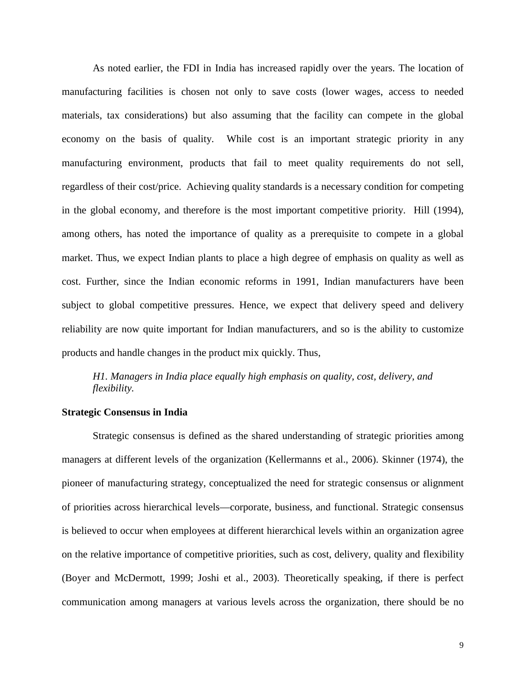As noted earlier, the FDI in India has increased rapidly over the years. The location of manufacturing facilities is chosen not only to save costs (lower wages, access to needed materials, tax considerations) but also assuming that the facility can compete in the global economy on the basis of quality. While cost is an important strategic priority in any manufacturing environment, products that fail to meet quality requirements do not sell, regardless of their cost/price. Achieving quality standards is a necessary condition for competing in the global economy, and therefore is the most important competitive priority. Hill (1994), among others, has noted the importance of quality as a prerequisite to compete in a global market. Thus, we expect Indian plants to place a high degree of emphasis on quality as well as cost. Further, since the Indian economic reforms in 1991, Indian manufacturers have been subject to global competitive pressures. Hence, we expect that delivery speed and delivery reliability are now quite important for Indian manufacturers, and so is the ability to customize products and handle changes in the product mix quickly. Thus,

## *H1. Managers in India place equally high emphasis on quality, cost, delivery, and flexibility.*

#### **Strategic Consensus in India**

Strategic consensus is defined as the shared understanding of strategic priorities among managers at different levels of the organization (Kellermanns et al., 2006). Skinner (1974), the pioneer of manufacturing strategy, conceptualized the need for strategic consensus or alignment of priorities across hierarchical levels—corporate, business, and functional. Strategic consensus is believed to occur when employees at different hierarchical levels within an organization agree on the relative importance of competitive priorities, such as cost, delivery, quality and flexibility (Boyer and McDermott, 1999; Joshi et al., 2003). Theoretically speaking, if there is perfect communication among managers at various levels across the organization, there should be no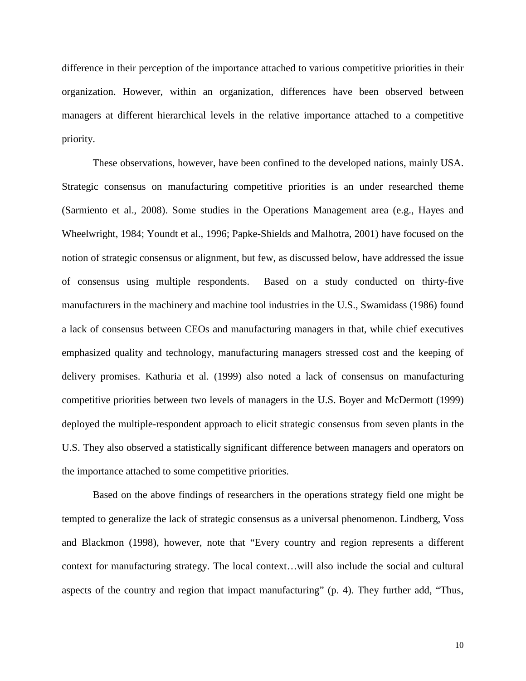difference in their perception of the importance attached to various competitive priorities in their organization. However, within an organization, differences have been observed between managers at different hierarchical levels in the relative importance attached to a competitive priority.

These observations, however, have been confined to the developed nations, mainly USA. Strategic consensus on manufacturing competitive priorities is an under researched theme (Sarmiento et al., 2008). Some studies in the Operations Management area (e.g., Hayes and Wheelwright, 1984; Youndt et al., 1996; Papke-Shields and Malhotra, 2001) have focused on the notion of strategic consensus or alignment, but few, as discussed below, have addressed the issue of consensus using multiple respondents. Based on a study conducted on thirty-five manufacturers in the machinery and machine tool industries in the U.S., Swamidass (1986) found a lack of consensus between CEOs and manufacturing managers in that, while chief executives emphasized quality and technology, manufacturing managers stressed cost and the keeping of delivery promises. Kathuria et al. (1999) also noted a lack of consensus on manufacturing competitive priorities between two levels of managers in the U.S. Boyer and McDermott (1999) deployed the multiple-respondent approach to elicit strategic consensus from seven plants in the U.S. They also observed a statistically significant difference between managers and operators on the importance attached to some competitive priorities.

Based on the above findings of researchers in the operations strategy field one might be tempted to generalize the lack of strategic consensus as a universal phenomenon. Lindberg, Voss and Blackmon (1998), however, note that "Every country and region represents a different context for manufacturing strategy. The local context…will also include the social and cultural aspects of the country and region that impact manufacturing" (p. 4). They further add, "Thus,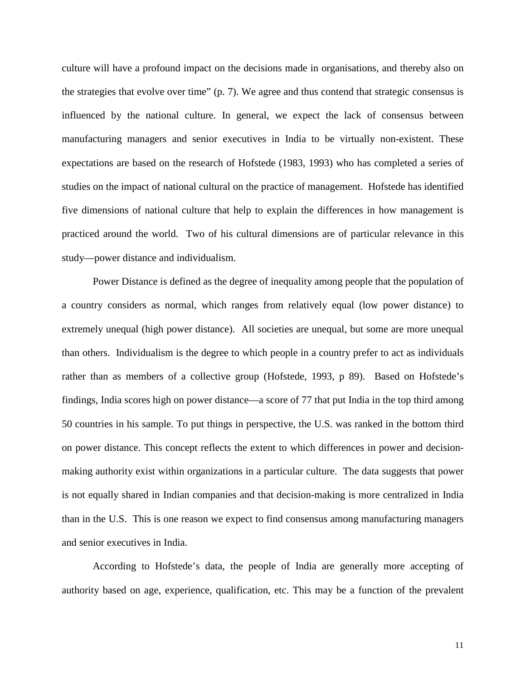culture will have a profound impact on the decisions made in organisations, and thereby also on the strategies that evolve over time" (p. 7). We agree and thus contend that strategic consensus is influenced by the national culture. In general, we expect the lack of consensus between manufacturing managers and senior executives in India to be virtually non-existent. These expectations are based on the research of Hofstede (1983, 1993) who has completed a series of studies on the impact of national cultural on the practice of management. Hofstede has identified five dimensions of national culture that help to explain the differences in how management is practiced around the world. Two of his cultural dimensions are of particular relevance in this study—power distance and individualism.

Power Distance is defined as the degree of inequality among people that the population of a country considers as normal, which ranges from relatively equal (low power distance) to extremely unequal (high power distance). All societies are unequal, but some are more unequal than others. Individualism is the degree to which people in a country prefer to act as individuals rather than as members of a collective group (Hofstede, 1993, p 89). Based on Hofstede's findings, India scores high on power distance—a score of 77 that put India in the top third among 50 countries in his sample. To put things in perspective, the U.S. was ranked in the bottom third on power distance. This concept reflects the extent to which differences in power and decisionmaking authority exist within organizations in a particular culture. The data suggests that power is not equally shared in Indian companies and that decision-making is more centralized in India than in the U.S. This is one reason we expect to find consensus among manufacturing managers and senior executives in India.

According to Hofstede's data, the people of India are generally more accepting of authority based on age, experience, qualification, etc. This may be a function of the prevalent

11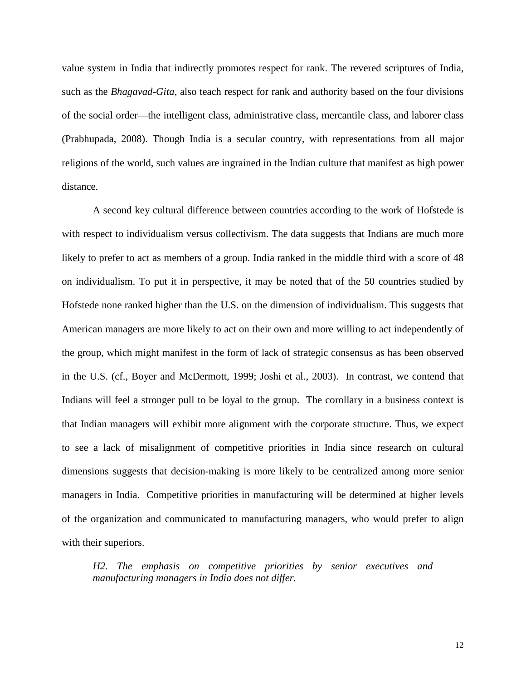value system in India that indirectly promotes respect for rank. The revered scriptures of India, such as the *Bhagavad-Gita*, also teach respect for rank and authority based on the four divisions of the social order—the intelligent class, administrative class, mercantile class, and laborer class (Prabhupada, 2008). Though India is a secular country, with representations from all major religions of the world, such values are ingrained in the Indian culture that manifest as high power distance.

A second key cultural difference between countries according to the work of Hofstede is with respect to individualism versus collectivism. The data suggests that Indians are much more likely to prefer to act as members of a group. India ranked in the middle third with a score of 48 on individualism. To put it in perspective, it may be noted that of the 50 countries studied by Hofstede none ranked higher than the U.S. on the dimension of individualism. This suggests that American managers are more likely to act on their own and more willing to act independently of the group, which might manifest in the form of lack of strategic consensus as has been observed in the U.S. (cf., Boyer and McDermott, 1999; Joshi et al., 2003). In contrast, we contend that Indians will feel a stronger pull to be loyal to the group. The corollary in a business context is that Indian managers will exhibit more alignment with the corporate structure. Thus, we expect to see a lack of misalignment of competitive priorities in India since research on cultural dimensions suggests that decision-making is more likely to be centralized among more senior managers in India. Competitive priorities in manufacturing will be determined at higher levels of the organization and communicated to manufacturing managers, who would prefer to align with their superiors.

*H2. The emphasis on competitive priorities by senior executives and manufacturing managers in India does not differ.*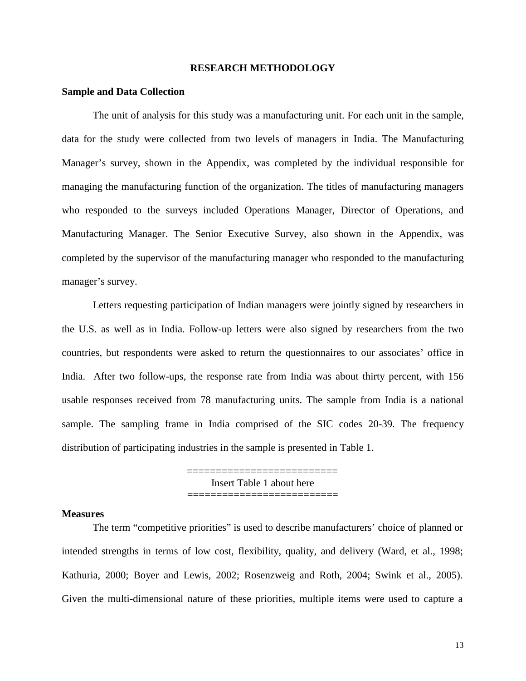#### **RESEARCH METHODOLOGY**

#### **Sample and Data Collection**

The unit of analysis for this study was a manufacturing unit. For each unit in the sample, data for the study were collected from two levels of managers in India. The Manufacturing Manager's survey, shown in the Appendix, was completed by the individual responsible for managing the manufacturing function of the organization. The titles of manufacturing managers who responded to the surveys included Operations Manager, Director of Operations, and Manufacturing Manager. The Senior Executive Survey, also shown in the Appendix, was completed by the supervisor of the manufacturing manager who responded to the manufacturing manager's survey.

Letters requesting participation of Indian managers were jointly signed by researchers in the U.S. as well as in India. Follow-up letters were also signed by researchers from the two countries, but respondents were asked to return the questionnaires to our associates' office in India. After two follow-ups, the response rate from India was about thirty percent, with 156 usable responses received from 78 manufacturing units. The sample from India is a national sample. The sampling frame in India comprised of the SIC codes 20-39. The frequency distribution of participating industries in the sample is presented in Table 1.

> =========================== Insert Table 1 about here ===========================

#### **Measures**

The term "competitive priorities" is used to describe manufacturers' choice of planned or intended strengths in terms of low cost, flexibility, quality, and delivery (Ward, et al., 1998; Kathuria, 2000; Boyer and Lewis, 2002; Rosenzweig and Roth, 2004; Swink et al., 2005). Given the multi-dimensional nature of these priorities, multiple items were used to capture a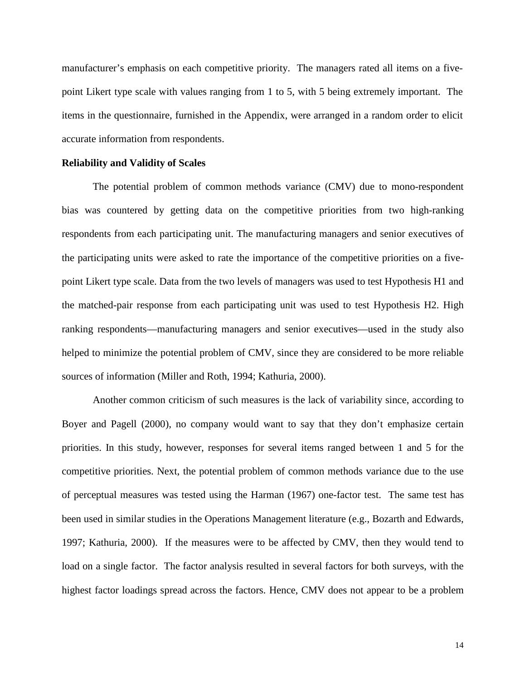manufacturer's emphasis on each competitive priority. The managers rated all items on a fivepoint Likert type scale with values ranging from 1 to 5, with 5 being extremely important. The items in the questionnaire, furnished in the Appendix, were arranged in a random order to elicit accurate information from respondents.

#### **Reliability and Validity of Scales**

The potential problem of common methods variance (CMV) due to mono-respondent bias was countered by getting data on the competitive priorities from two high-ranking respondents from each participating unit. The manufacturing managers and senior executives of the participating units were asked to rate the importance of the competitive priorities on a fivepoint Likert type scale. Data from the two levels of managers was used to test Hypothesis H1 and the matched-pair response from each participating unit was used to test Hypothesis H2. High ranking respondents—manufacturing managers and senior executives—used in the study also helped to minimize the potential problem of CMV, since they are considered to be more reliable sources of information (Miller and Roth, 1994; Kathuria, 2000).

Another common criticism of such measures is the lack of variability since, according to Boyer and Pagell (2000), no company would want to say that they don't emphasize certain priorities. In this study, however, responses for several items ranged between 1 and 5 for the competitive priorities. Next, the potential problem of common methods variance due to the use of perceptual measures was tested using the Harman (1967) one-factor test. The same test has been used in similar studies in the Operations Management literature (e.g., Bozarth and Edwards, 1997; Kathuria, 2000). If the measures were to be affected by CMV, then they would tend to load on a single factor. The factor analysis resulted in several factors for both surveys, with the highest factor loadings spread across the factors. Hence, CMV does not appear to be a problem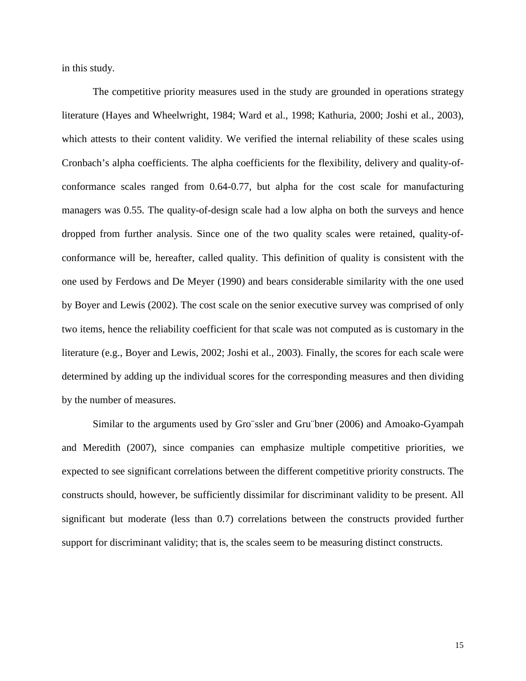in this study.

The competitive priority measures used in the study are grounded in operations strategy literature (Hayes and Wheelwright, 1984; Ward et al., 1998; Kathuria, 2000; Joshi et al., 2003), which attests to their content validity. We verified the internal reliability of these scales using Cronbach's alpha coefficients. The alpha coefficients for the flexibility, delivery and quality-ofconformance scales ranged from 0.64-0.77, but alpha for the cost scale for manufacturing managers was 0.55. The quality-of-design scale had a low alpha on both the surveys and hence dropped from further analysis. Since one of the two quality scales were retained, quality-ofconformance will be, hereafter, called quality. This definition of quality is consistent with the one used by Ferdows and De Meyer (1990) and bears considerable similarity with the one used by Boyer and Lewis (2002). The cost scale on the senior executive survey was comprised of only two items, hence the reliability coefficient for that scale was not computed as is customary in the literature (e.g., Boyer and Lewis, 2002; Joshi et al., 2003). Finally, the scores for each scale were determined by adding up the individual scores for the corresponding measures and then dividing by the number of measures.

Similar to the arguments used by Gro¨ssler and Gru¨bner (2006) and Amoako-Gyampah and Meredith (2007), since companies can emphasize multiple competitive priorities, we expected to see significant correlations between the different competitive priority constructs. The constructs should, however, be sufficiently dissimilar for discriminant validity to be present. All significant but moderate (less than 0.7) correlations between the constructs provided further support for discriminant validity; that is, the scales seem to be measuring distinct constructs.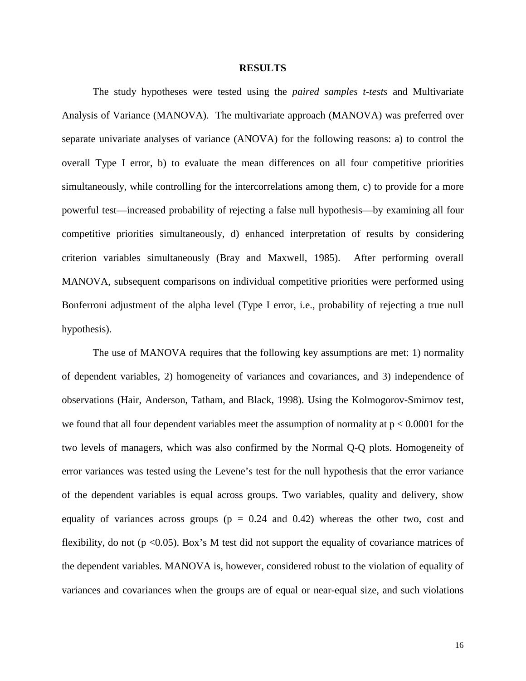#### **RESULTS**

The study hypotheses were tested using the *paired samples t-tests* and Multivariate Analysis of Variance (MANOVA). The multivariate approach (MANOVA) was preferred over separate univariate analyses of variance (ANOVA) for the following reasons: a) to control the overall Type I error, b) to evaluate the mean differences on all four competitive priorities simultaneously, while controlling for the intercorrelations among them, c) to provide for a more powerful test—increased probability of rejecting a false null hypothesis—by examining all four competitive priorities simultaneously, d) enhanced interpretation of results by considering criterion variables simultaneously (Bray and Maxwell, 1985). After performing overall MANOVA, subsequent comparisons on individual competitive priorities were performed using Bonferroni adjustment of the alpha level (Type I error, i.e., probability of rejecting a true null hypothesis).

The use of MANOVA requires that the following key assumptions are met: 1) normality of dependent variables, 2) homogeneity of variances and covariances, and 3) independence of observations (Hair, Anderson, Tatham, and Black, 1998). Using the Kolmogorov-Smirnov test, we found that all four dependent variables meet the assumption of normality at  $p < 0.0001$  for the two levels of managers, which was also confirmed by the Normal Q-Q plots. Homogeneity of error variances was tested using the Levene's test for the null hypothesis that the error variance of the dependent variables is equal across groups. Two variables, quality and delivery, show equality of variances across groups ( $p = 0.24$  and 0.42) whereas the other two, cost and flexibility, do not ( $p \le 0.05$ ). Box's M test did not support the equality of covariance matrices of the dependent variables. MANOVA is, however, considered robust to the violation of equality of variances and covariances when the groups are of equal or near-equal size, and such violations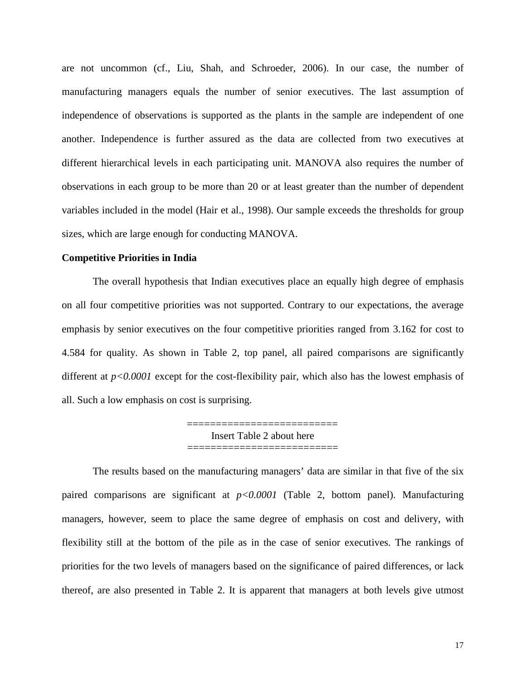are not uncommon (cf., Liu, Shah, and Schroeder, 2006). In our case, the number of manufacturing managers equals the number of senior executives. The last assumption of independence of observations is supported as the plants in the sample are independent of one another. Independence is further assured as the data are collected from two executives at different hierarchical levels in each participating unit. MANOVA also requires the number of observations in each group to be more than 20 or at least greater than the number of dependent variables included in the model (Hair et al., 1998). Our sample exceeds the thresholds for group sizes, which are large enough for conducting MANOVA.

#### **Competitive Priorities in India**

The overall hypothesis that Indian executives place an equally high degree of emphasis on all four competitive priorities was not supported. Contrary to our expectations, the average emphasis by senior executives on the four competitive priorities ranged from 3.162 for cost to 4.584 for quality. As shown in Table 2, top panel, all paired comparisons are significantly different at *p<0.0001* except for the cost-flexibility pair, which also has the lowest emphasis of all. Such a low emphasis on cost is surprising.

> ========================== Insert Table 2 about here ===========================

The results based on the manufacturing managers' data are similar in that five of the six paired comparisons are significant at *p<0.0001* (Table 2, bottom panel). Manufacturing managers, however, seem to place the same degree of emphasis on cost and delivery, with flexibility still at the bottom of the pile as in the case of senior executives. The rankings of priorities for the two levels of managers based on the significance of paired differences, or lack thereof, are also presented in Table 2. It is apparent that managers at both levels give utmost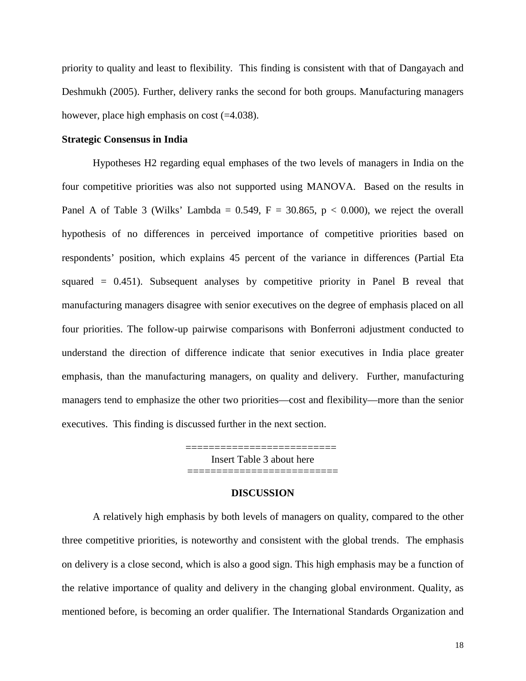priority to quality and least to flexibility. This finding is consistent with that of Dangayach and Deshmukh (2005). Further, delivery ranks the second for both groups. Manufacturing managers however, place high emphasis on cost (=4.038).

#### **Strategic Consensus in India**

Hypotheses H2 regarding equal emphases of the two levels of managers in India on the four competitive priorities was also not supported using MANOVA. Based on the results in Panel A of Table 3 (Wilks' Lambda =  $0.549$ , F = 30.865, p < 0.000), we reject the overall hypothesis of no differences in perceived importance of competitive priorities based on respondents' position, which explains 45 percent of the variance in differences (Partial Eta squared  $= 0.451$ ). Subsequent analyses by competitive priority in Panel B reveal that manufacturing managers disagree with senior executives on the degree of emphasis placed on all four priorities. The follow-up pairwise comparisons with Bonferroni adjustment conducted to understand the direction of difference indicate that senior executives in India place greater emphasis, than the manufacturing managers, on quality and delivery. Further, manufacturing managers tend to emphasize the other two priorities—cost and flexibility—more than the senior executives. This finding is discussed further in the next section.

> =========================== Insert Table 3 about here ==========================

#### **DISCUSSION**

A relatively high emphasis by both levels of managers on quality, compared to the other three competitive priorities, is noteworthy and consistent with the global trends. The emphasis on delivery is a close second, which is also a good sign. This high emphasis may be a function of the relative importance of quality and delivery in the changing global environment. Quality, as mentioned before, is becoming an order qualifier. The International Standards Organization and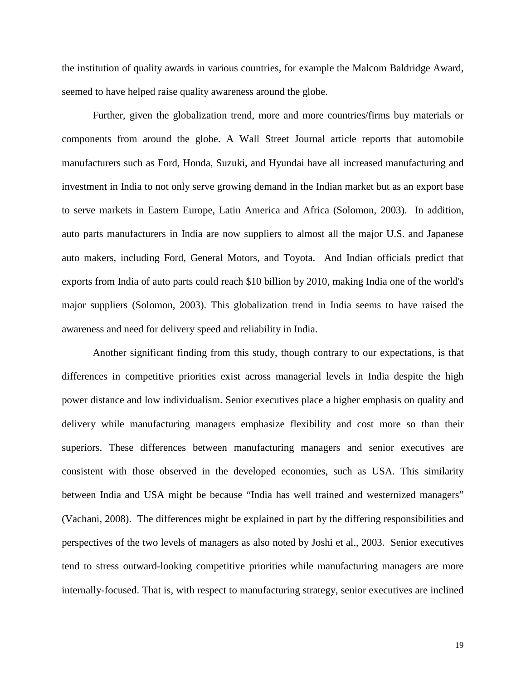the institution of quality awards in various countries, for example the Malcom Baldridge Award, seemed to have helped raise quality awareness around the globe.

Further, given the globalization trend, more and more countries/firms buy materials or components from around the globe. A Wall Street Journal article reports that automobile manufacturers such as Ford, Honda, Suzuki, and Hyundai have all increased manufacturing and investment in India to not only serve growing demand in the Indian market but as an export base to serve markets in Eastern Europe, Latin America and Africa (Solomon, 2003). In addition, auto parts manufacturers in India are now suppliers to almost all the major U.S. and Japanese auto makers, including Ford, General Motors, and Toyota. And Indian officials predict that exports from India of auto parts could reach \$10 billion by 2010, making India one of the world's major suppliers (Solomon, 2003). This globalization trend in India seems to have raised the awareness and need for delivery speed and reliability in India.

Another significant finding from this study, though contrary to our expectations, is that differences in competitive priorities exist across managerial levels in India despite the high power distance and low individualism. Senior executives place a higher emphasis on quality and delivery while manufacturing managers emphasize flexibility and cost more so than their superiors. These differences between manufacturing managers and senior executives are consistent with those observed in the developed economies, such as USA. This similarity between India and USA might be because "India has well trained and westernized managers" (Vachani, 2008). The differences might be explained in part by the differing responsibilities and perspectives of the two levels of managers as also noted by Joshi et al., 2003. Senior executives tend to stress outward-looking competitive priorities while manufacturing managers are more internally-focused. That is, with respect to manufacturing strategy, senior executives are inclined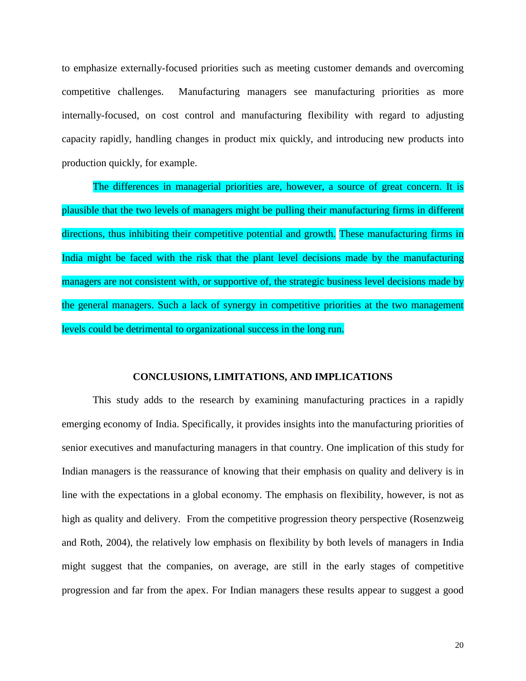to emphasize externally-focused priorities such as meeting customer demands and overcoming competitive challenges. Manufacturing managers see manufacturing priorities as more internally-focused, on cost control and manufacturing flexibility with regard to adjusting capacity rapidly, handling changes in product mix quickly, and introducing new products into production quickly, for example.

The differences in managerial priorities are, however, a source of great concern. It is plausible that the two levels of managers might be pulling their manufacturing firms in different directions, thus inhibiting their competitive potential and growth. These manufacturing firms in India might be faced with the risk that the plant level decisions made by the manufacturing managers are not consistent with, or supportive of, the strategic business level decisions made by the general managers. Such a lack of synergy in competitive priorities at the two management levels could be detrimental to organizational success in the long run.

#### **CONCLUSIONS, LIMITATIONS, AND IMPLICATIONS**

This study adds to the research by examining manufacturing practices in a rapidly emerging economy of India. Specifically, it provides insights into the manufacturing priorities of senior executives and manufacturing managers in that country. One implication of this study for Indian managers is the reassurance of knowing that their emphasis on quality and delivery is in line with the expectations in a global economy. The emphasis on flexibility, however, is not as high as quality and delivery. From the competitive progression theory perspective (Rosenzweig and Roth, 2004), the relatively low emphasis on flexibility by both levels of managers in India might suggest that the companies, on average, are still in the early stages of competitive progression and far from the apex. For Indian managers these results appear to suggest a good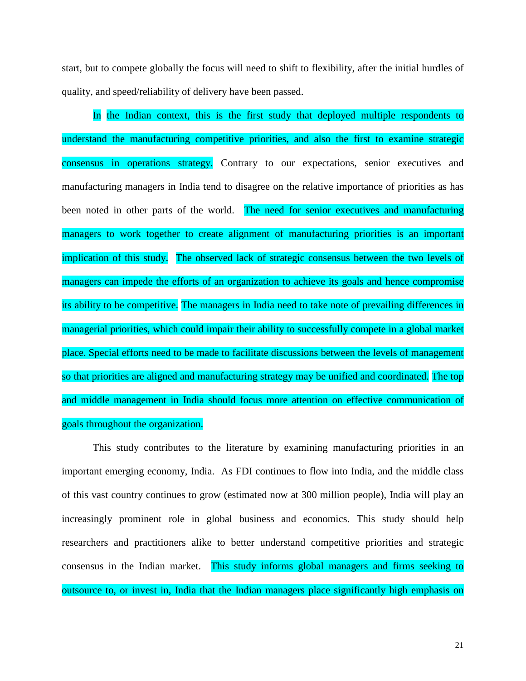start, but to compete globally the focus will need to shift to flexibility, after the initial hurdles of quality, and speed/reliability of delivery have been passed.

In the Indian context, this is the first study that deployed multiple respondents to understand the manufacturing competitive priorities, and also the first to examine strategic consensus in operations strategy. Contrary to our expectations, senior executives and manufacturing managers in India tend to disagree on the relative importance of priorities as has been noted in other parts of the world. The need for senior executives and manufacturing managers to work together to create alignment of manufacturing priorities is an important implication of this study. The observed lack of strategic consensus between the two levels of managers can impede the efforts of an organization to achieve its goals and hence compromise its ability to be competitive. The managers in India need to take note of prevailing differences in managerial priorities, which could impair their ability to successfully compete in a global market place. Special efforts need to be made to facilitate discussions between the levels of management so that priorities are aligned and manufacturing strategy may be unified and coordinated. The top and middle management in India should focus more attention on effective communication of goals throughout the organization.

This study contributes to the literature by examining manufacturing priorities in an important emerging economy, India. As FDI continues to flow into India, and the middle class of this vast country continues to grow (estimated now at 300 million people), India will play an increasingly prominent role in global business and economics. This study should help researchers and practitioners alike to better understand competitive priorities and strategic consensus in the Indian market. This study informs global managers and firms seeking to outsource to, or invest in, India that the Indian managers place significantly high emphasis on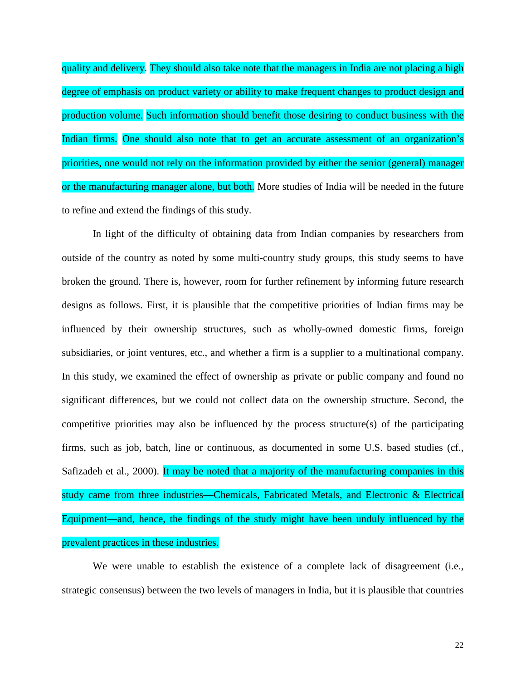quality and delivery. They should also take note that the managers in India are not placing a high degree of emphasis on product variety or ability to make frequent changes to product design and production volume. Such information should benefit those desiring to conduct business with the Indian firms. One should also note that to get an accurate assessment of an organization's priorities, one would not rely on the information provided by either the senior (general) manager or the manufacturing manager alone, but both. More studies of India will be needed in the future to refine and extend the findings of this study.

In light of the difficulty of obtaining data from Indian companies by researchers from outside of the country as noted by some multi-country study groups, this study seems to have broken the ground. There is, however, room for further refinement by informing future research designs as follows. First, it is plausible that the competitive priorities of Indian firms may be influenced by their ownership structures, such as wholly-owned domestic firms, foreign subsidiaries, or joint ventures, etc., and whether a firm is a supplier to a multinational company. In this study, we examined the effect of ownership as private or public company and found no significant differences, but we could not collect data on the ownership structure. Second, the competitive priorities may also be influenced by the process structure(s) of the participating firms, such as job, batch, line or continuous, as documented in some U.S. based studies (cf., Safizadeh et al., 2000). It may be noted that a majority of the manufacturing companies in this study came from three industries—Chemicals, Fabricated Metals, and Electronic & Electrical Equipment—and, hence, the findings of the study might have been unduly influenced by the prevalent practices in these industries.

We were unable to establish the existence of a complete lack of disagreement (i.e., strategic consensus) between the two levels of managers in India, but it is plausible that countries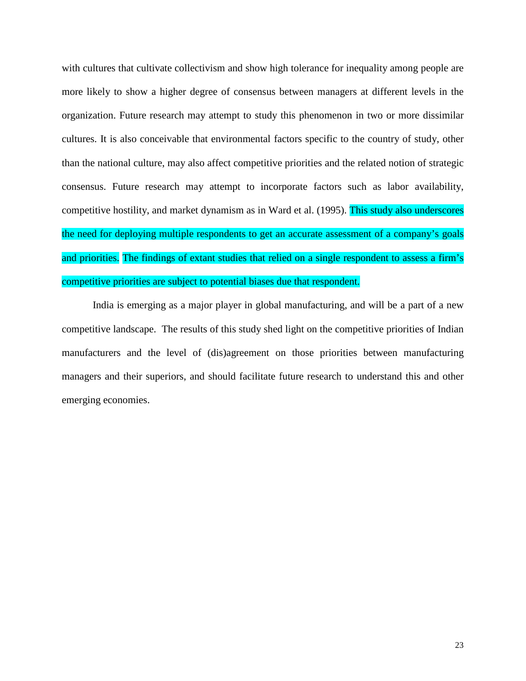with cultures that cultivate collectivism and show high tolerance for inequality among people are more likely to show a higher degree of consensus between managers at different levels in the organization. Future research may attempt to study this phenomenon in two or more dissimilar cultures. It is also conceivable that environmental factors specific to the country of study, other than the national culture, may also affect competitive priorities and the related notion of strategic consensus. Future research may attempt to incorporate factors such as labor availability, competitive hostility, and market dynamism as in Ward et al. (1995). This study also underscores the need for deploying multiple respondents to get an accurate assessment of a company's goals and priorities. The findings of extant studies that relied on a single respondent to assess a firm's competitive priorities are subject to potential biases due that respondent.

India is emerging as a major player in global manufacturing, and will be a part of a new competitive landscape. The results of this study shed light on the competitive priorities of Indian manufacturers and the level of (dis)agreement on those priorities between manufacturing managers and their superiors, and should facilitate future research to understand this and other emerging economies.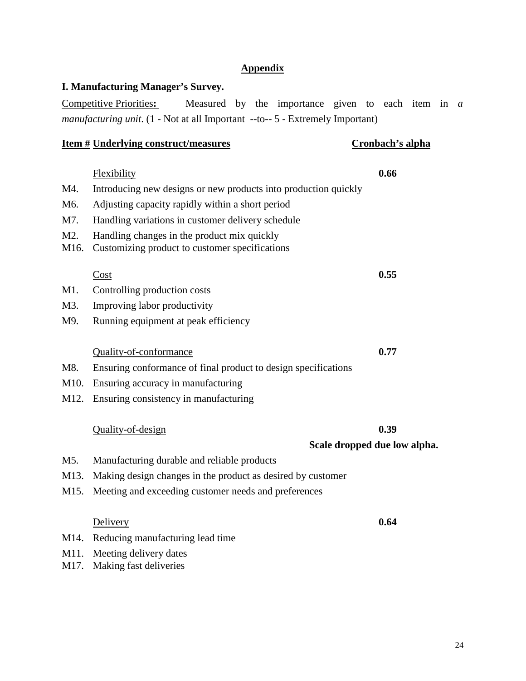#### **Appendix**

#### **I. Manufacturing Manager's Survey.**

Competitive Priorities**:** Measured by the importance given to each item in *a manufacturing unit*. (1 - Not at all Important --to-- 5 - Extremely Important)

#### **Item # Underlying construct/measures Cronbach's alpha**

Flexibility **0.66** M4. Introducing new designs or new products into production quickly M6. Adjusting capacity rapidly within a short period M7. Handling variations in customer delivery schedule M2. Handling changes in the product mix quickly M16. Customizing product to customer specifications  $\frac{\text{Cost}}{\text{Cost}}$ M1. Controlling production costs M3. Improving labor productivity M9. Running equipment at peak efficiency Quality-of-conformance **0.77** M8. Ensuring conformance of final product to design specifications M10. Ensuring accuracy in manufacturing M12. Ensuring consistency in manufacturing

#### Quality-of-design **0.39**

**Scale dropped due low alpha.**

- M5. Manufacturing durable and reliable products
- M13. Making design changes in the product as desired by customer
- M15. Meeting and exceeding customer needs and preferences

#### Delivery **0.64**

- M14. Reducing manufacturing lead time
- M11. Meeting delivery dates
- M17. Making fast deliveries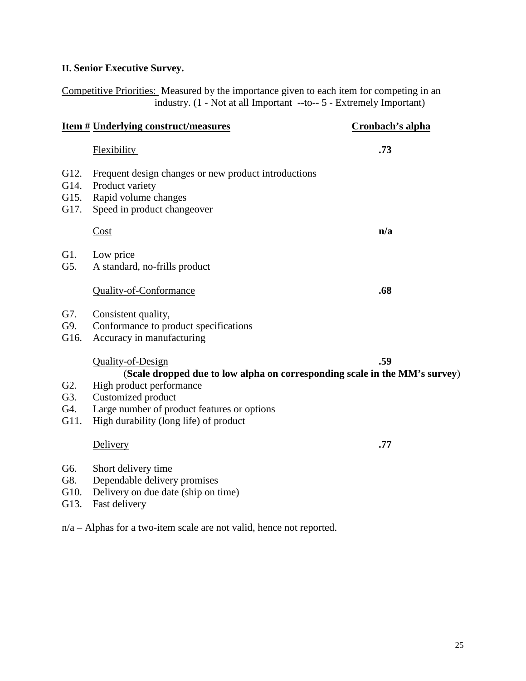# **II. Senior Executive Survey.**

Competitive Priorities: Measured by the importance given to each item for competing in an industry. (1 - Not at all Important --to-- 5 - Extremely Important)

|                                        | <u>Item # Underlying construct/measures</u>                                                                                                                                                                                                | Cronbach's alpha |
|----------------------------------------|--------------------------------------------------------------------------------------------------------------------------------------------------------------------------------------------------------------------------------------------|------------------|
|                                        | <b>Flexibility</b>                                                                                                                                                                                                                         | .73              |
| G12.<br>G14.<br>G15.<br>G17.           | Frequent design changes or new product introductions<br>Product variety<br>Rapid volume changes<br>Speed in product changeover                                                                                                             |                  |
|                                        | Cost                                                                                                                                                                                                                                       | n/a              |
| G1.<br>G5.                             | Low price<br>A standard, no-frills product                                                                                                                                                                                                 |                  |
|                                        | <b>Quality-of-Conformance</b>                                                                                                                                                                                                              | .68              |
| G7.<br>G9.<br>G16.                     | Consistent quality,<br>Conformance to product specifications<br>Accuracy in manufacturing                                                                                                                                                  |                  |
| G <sub>2</sub> .<br>G3.<br>G4.<br>G11. | Quality-of-Design<br>(Scale dropped due to low alpha on corresponding scale in the MM's survey)<br>High product performance<br>Customized product<br>Large number of product features or options<br>High durability (long life) of product | .59              |
|                                        | Delivery                                                                                                                                                                                                                                   | .77              |
| G6.<br>G8.<br>G10.                     | Short delivery time<br>Dependable delivery promises<br>Delivery on due date (ship on time)                                                                                                                                                 |                  |

G13. Fast delivery

n/a – Alphas for a two-item scale are not valid, hence not reported.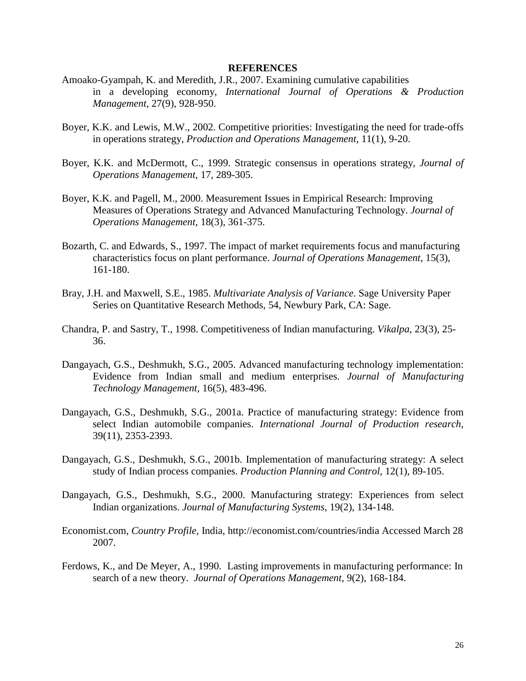#### **REFERENCES**

- Amoako-Gyampah, K. and Meredith, J.R., 2007. Examining cumulative capabilities in a developing economy, *International Journal of Operations & Production Management*, 27(9), 928-950.
- Boyer, K.K. and Lewis, M.W., 2002. Competitive priorities: Investigating the need for trade-offs in operations strategy, *Production and Operations Management*, 11(1), 9-20.
- Boyer, K.K. and McDermott, C., 1999. Strategic consensus in operations strategy, *Journal of Operations Management*, 17, 289-305.
- Boyer, K.K. and Pagell, M., 2000. Measurement Issues in Empirical Research: Improving Measures of Operations Strategy and Advanced Manufacturing Technology. *Journal of Operations Management,* 18(3), 361-375.
- Bozarth, C. and Edwards, S., 1997. The impact of market requirements focus and manufacturing characteristics focus on plant performance. *Journal of Operations Management*, 15(3), 161-180.
- Bray, J.H. and Maxwell, S.E., 1985. *Multivariate Analysis of Variance*. Sage University Paper Series on Quantitative Research Methods, 54, Newbury Park, CA: Sage.
- Chandra, P. and Sastry, T., 1998. Competitiveness of Indian manufacturing. *Vikalpa*, 23(3), 25- 36.
- Dangayach, G.S., Deshmukh, S.G., 2005. Advanced manufacturing technology implementation: Evidence from Indian small and medium enterprises. *Journal of Manufacturing Technology Management*, 16(5), 483-496.
- Dangayach, G.S., Deshmukh, S.G., 2001a. Practice of manufacturing strategy: Evidence from select Indian automobile companies. *International Journal of Production research*, 39(11), 2353-2393.
- Dangayach, G.S., Deshmukh, S.G., 2001b. Implementation of manufacturing strategy: A select study of Indian process companies. *Production Planning and Control*, 12(1), 89-105.
- Dangayach, G.S., Deshmukh, S.G., 2000. Manufacturing strategy: Experiences from select Indian organizations. *Journal of Manufacturing Systems*, 19(2), 134-148.
- Economist.com, *Country Profile*, India, http://economist.com/countries/india Accessed March 28 2007.
- Ferdows, K., and De Meyer, A., 1990. Lasting improvements in manufacturing performance: In search of a new theory.*Journal of Operations Management*, 9(2), 168-184.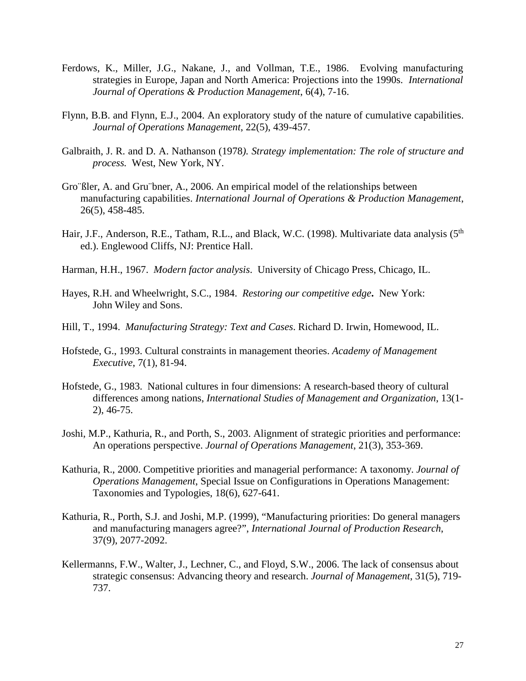- Ferdows, K., Miller, J.G., Nakane, J., and Vollman, T.E., 1986. Evolving manufacturing strategies in Europe, Japan and North America: Projections into the 1990s. *International Journal of Operations & Production Management*, 6(4), 7-16.
- Flynn, B.B. and Flynn, E.J., 2004. An exploratory study of the nature of cumulative capabilities. *Journal of Operations Management*, 22(5), 439-457.
- Galbraith, J. R. and D. A. Nathanson (1978*). Strategy implementation: The role of structure and process.* West, New York, NY.
- Gro¨ßler, A. and Gru¨bner, A., 2006. An empirical model of the relationships between manufacturing capabilities. *International Journal of Operations & Production Management*, 26(5), 458-485.
- Hair, J.F., Anderson, R.E., Tatham, R.L., and Black, W.C. (1998). Multivariate data analysis (5<sup>th</sup>) ed.). Englewood Cliffs, NJ: Prentice Hall.
- Harman, H.H., 1967. *Modern factor analysis*. University of Chicago Press, Chicago, IL.
- Hayes, R.H. and Wheelwright, S.C., 1984. *Restoring our competitive edge***.** New York: John Wiley and Sons.
- Hill, T., 1994. *Manufacturing Strategy: Text and Cases*. Richard D. Irwin, Homewood, IL.
- Hofstede, G., 1993. Cultural constraints in management theories. *Academy of Management Executive*, 7(1), 81-94.
- Hofstede, G., 1983. National cultures in four dimensions: A research-based theory of cultural differences among nations, *International Studies of Management and Organization*, 13(1- 2), 46-75.
- Joshi, M.P., Kathuria, R., and Porth, S., 2003. Alignment of strategic priorities and performance: An operations perspective. *Journal of Operations Management*, 21(3), 353-369.
- Kathuria, R., 2000. Competitive priorities and managerial performance: A taxonomy. *Journal of Operations Management*, Special Issue on Configurations in Operations Management: Taxonomies and Typologies, 18(6), 627-641.
- Kathuria, R., Porth, S.J. and Joshi, M.P. (1999), "Manufacturing priorities: Do general managers and manufacturing managers agree?", *International Journal of Production Research*, 37(9), 2077-2092.
- Kellermanns, F.W., Walter, J., Lechner, C., and Floyd, S.W., 2006. The lack of consensus about strategic consensus: Advancing theory and research. *Journal of Management*, 31(5), 719- 737.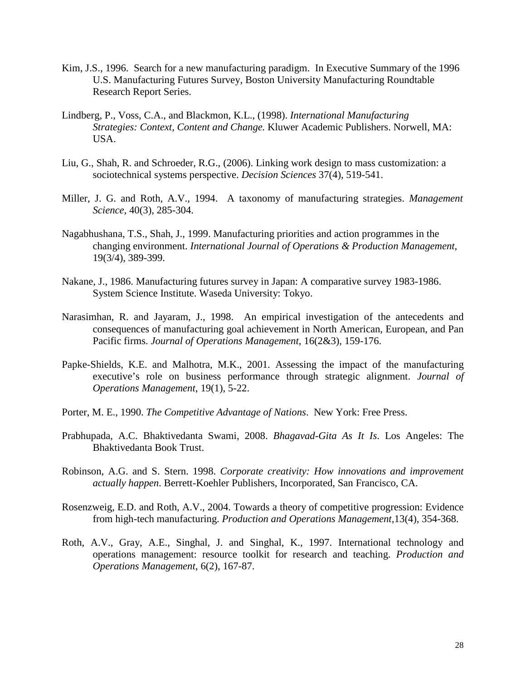- Kim, J.S., 1996. Search for a new manufacturing paradigm. In Executive Summary of the 1996 U.S. Manufacturing Futures Survey, Boston University Manufacturing Roundtable Research Report Series.
- Lindberg, P., Voss, C.A., and Blackmon, K.L., (1998). *International Manufacturing Strategies: Context, Content and Change.* Kluwer Academic Publishers. Norwell, MA: USA.
- Liu, G., Shah, R. and Schroeder, R.G., (2006). Linking work design to mass customization: a sociotechnical systems perspective. *Decision Sciences* 37(4), 519-541.
- Miller, J. G. and Roth, A.V., 1994. A taxonomy of manufacturing strategies. *Management Science*, 40(3), 285-304.
- Nagabhushana, T.S., Shah, J., 1999. Manufacturing priorities and action programmes in the changing environment. *International Journal of Operations & Production Management*, 19(3/4), 389-399.
- Nakane, J., 1986. Manufacturing futures survey in Japan: A comparative survey 1983-1986. System Science Institute. Waseda University: Tokyo.
- Narasimhan, R. and Jayaram, J., 1998. An empirical investigation of the antecedents and consequences of manufacturing goal achievement in North American, European, and Pan Pacific firms. *Journal of Operations Management*, 16(2&3), 159-176.
- Papke-Shields, K.E. and Malhotra, M.K., 2001. Assessing the impact of the manufacturing executive's role on business performance through strategic alignment. *Journal of Operations Management*, 19(1), 5-22.
- Porter, M. E., 1990. *The Competitive Advantage of Nations*. New York: Free Press.
- Prabhupada, A.C. Bhaktivedanta Swami, 2008. *Bhagavad-Gita As It Is*. Los Angeles: The Bhaktivedanta Book Trust.
- Robinson, A.G. and S. Stern. 1998. *Corporate creativity: How innovations and improvement actually happen*. Berrett-Koehler Publishers, Incorporated, San Francisco, CA.
- Rosenzweig, E.D. and Roth, A.V., 2004. Towards a theory of competitive progression: Evidence from high-tech manufacturing. *Production and Operations Management,*13(4), 354-368.
- Roth, A.V., Gray, A.E., Singhal, J. and Singhal, K., 1997. International technology and operations management: resource toolkit for research and teaching. *Production and Operations Management*, 6(2), 167-87.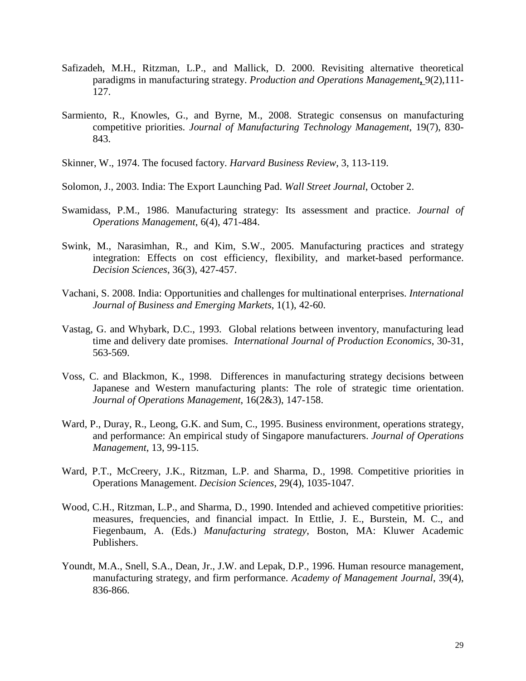- Safizadeh, M.H., Ritzman, L.P., and Mallick, D. 2000. Revisiting alternative theoretical paradigms in manufacturing strategy. *Production and Operations Management***,** 9(2),111- 127.
- Sarmiento, R., Knowles, G., and Byrne, M., 2008. Strategic consensus on manufacturing competitive priorities. *Journal of Manufacturing Technology Management*, 19(7), 830- 843.
- Skinner, W., 1974. The focused factory. *Harvard Business Review*, 3, 113-119.
- Solomon, J., 2003. India: The Export Launching Pad. *Wall Street Journal*, October 2.
- Swamidass, P.M., 1986. Manufacturing strategy: Its assessment and practice. *Journal of Operations Management*, 6(4), 471-484.
- Swink, M., Narasimhan, R., and Kim, S.W., 2005. Manufacturing practices and strategy integration: Effects on cost efficiency, flexibility, and market-based performance. *Decision Sciences*, 36(3), 427-457.
- Vachani, S. 2008. India: Opportunities and challenges for multinational enterprises. *International Journal of Business and Emerging Markets*, 1(1), 42-60.
- Vastag, G. and Whybark, D.C., 1993. Global relations between inventory, manufacturing lead time and delivery date promises. *International Journal of Production Economics*, 30-31, 563-569.
- Voss, C. and Blackmon, K., 1998. Differences in manufacturing strategy decisions between Japanese and Western manufacturing plants: The role of strategic time orientation. *Journal of Operations Management*, 16(2&3), 147-158.
- Ward, P., Duray, R., Leong, G.K. and Sum, C., 1995. Business environment, operations strategy, and performance: An empirical study of Singapore manufacturers. *Journal of Operations Management*, 13, 99-115.
- Ward, P.T., McCreery, J.K., Ritzman, L.P. and Sharma, D., 1998. Competitive priorities in Operations Management. *Decision Sciences*, 29(4), 1035-1047.
- Wood, C.H., Ritzman, L.P., and Sharma, D., 1990. Intended and achieved competitive priorities: measures, frequencies, and financial impact. In Ettlie, J. E., Burstein, M. C., and Fiegenbaum, A. (Eds.) *Manufacturing strategy*, Boston, MA: Kluwer Academic Publishers.
- Youndt, M.A., Snell, S.A., Dean, Jr., J.W. and Lepak, D.P., 1996. Human resource management, manufacturing strategy, and firm performance. *Academy of Management Journal*, 39(4), 836-866.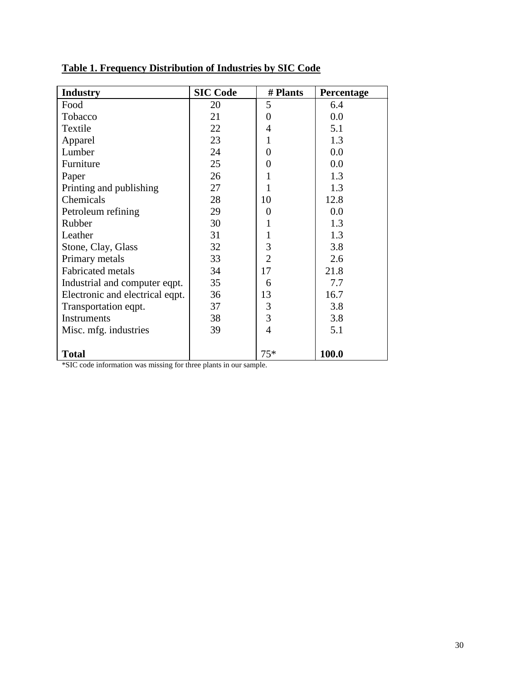| <b>Industry</b>                                                   | <b>SIC Code</b> | # Plants       | Percentage |  |  |
|-------------------------------------------------------------------|-----------------|----------------|------------|--|--|
| Food                                                              | 20              | 5              | 6.4        |  |  |
| Tobacco                                                           | 21              | 0              | 0.0        |  |  |
| Textile                                                           | 22              | 4              | 5.1        |  |  |
| Apparel                                                           | 23              | 1              | 1.3        |  |  |
| Lumber                                                            | 24              | 0              | 0.0        |  |  |
| Furniture                                                         | 25              | 0              | 0.0        |  |  |
| Paper                                                             | 26              |                | 1.3        |  |  |
| Printing and publishing                                           | 27              |                | 1.3        |  |  |
| Chemicals                                                         | 28              | 10             | 12.8       |  |  |
| Petroleum refining                                                | 29              | 0              | 0.0        |  |  |
| Rubber                                                            | 30              |                | 1.3        |  |  |
| Leather                                                           | 31              |                | 1.3        |  |  |
| Stone, Clay, Glass                                                | 32              | 3              | 3.8        |  |  |
| Primary metals                                                    | 33              | $\overline{2}$ | 2.6        |  |  |
| <b>Fabricated metals</b>                                          | 34              | 17             | 21.8       |  |  |
| Industrial and computer eqpt.                                     | 35              | 6              | 7.7        |  |  |
| Electronic and electrical eqpt.                                   | 36              | 13             | 16.7       |  |  |
| Transportation eqpt.                                              | 37              | 3              | 3.8        |  |  |
| <b>Instruments</b>                                                | 38              | 3              | 3.8        |  |  |
| Misc. mfg. industries                                             | 39              | 4              | 5.1        |  |  |
|                                                                   |                 |                |            |  |  |
| $75*$<br><b>Total</b><br>100.0                                    |                 |                |            |  |  |
| *SIC code information was missing for three plants in our sample. |                 |                |            |  |  |

# **Table 1. Frequency Distribution of Industries by SIC Code**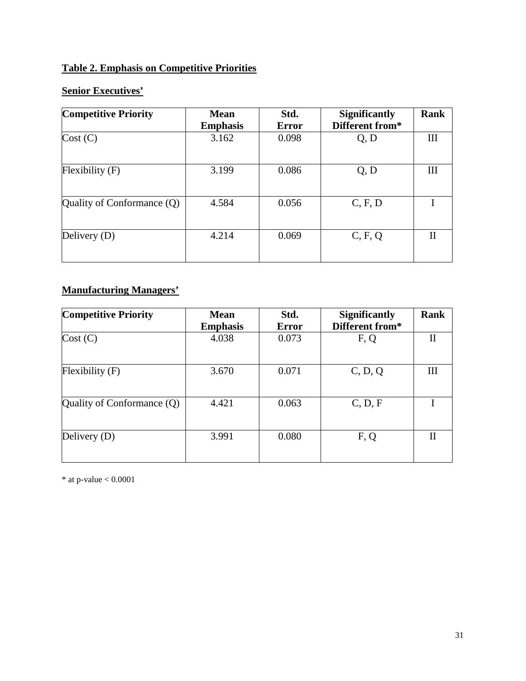# **Table 2. Emphasis on Competitive Priorities**

# **Senior Executives'**

| <b>Competitive Priority</b>  | <b>Mean</b><br><b>Emphasis</b> | Std.<br><b>Error</b> | <b>Significantly</b><br>Different from* | Rank |
|------------------------------|--------------------------------|----------------------|-----------------------------------------|------|
| Cost (C)                     | 3.162                          | 0.098                | Q, D                                    | Ш    |
| $F$ lexibility $(F)$         | 3.199                          | 0.086                | Q, D                                    | Ш    |
| Quality of Conformance $(Q)$ | 4.584                          | 0.056                | C, F, D                                 |      |
| Delivery (D)                 | 4.214                          | 0.069                | C, F, Q                                 | П    |

# **Manufacturing Managers'**

| <b>Competitive Priority</b>  | <b>Mean</b><br><b>Emphasis</b> | Std.<br><b>Error</b> | <b>Significantly</b><br>Different from* | <b>Rank</b> |
|------------------------------|--------------------------------|----------------------|-----------------------------------------|-------------|
| Cost (C)                     | 4.038                          | 0.073                | F, Q                                    | П           |
| $F$ lexibility $(F)$         | 3.670                          | 0.071                | C, D, Q                                 | Ш           |
| Quality of Conformance $(Q)$ | 4.421                          | 0.063                | C, D, F                                 |             |
| Delivery $(D)$               | 3.991                          | 0.080                | F, Q                                    | П           |

\* at p-value < 0.0001